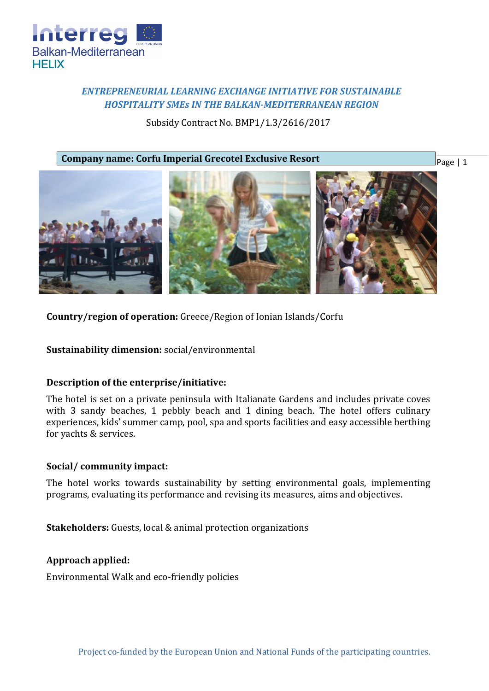

# *ENTREPRENEURIAL LEARNING EXCHANGE INITIATIVE FOR SUSTAINABLE HOSPITALITY SMEs IN THE BALKAN-MEDITERRANEAN REGION*

Subsidy Contract No. BMP1/1.3/2616/2017

**Company name: Corfu Imperial Grecotel Exclusive Resort**

Page | 1



**Country/region of operation:** Greece/Region of Ionian Islands/Corfu

**Sustainability dimension:** social/environmental

# **Description of the enterprise/initiative:**

The hotel is set on a private peninsula with Italianate Gardens and includes private coves with 3 sandy beaches, 1 pebbly beach and 1 dining beach. The hotel offers culinary experiences, kids' summer camp, pool, spa and sports facilities and easy accessible berthing for yachts & services.

# **Social/ community impact:**

The hotel works towards sustainability by setting environmental goals, implementing programs, evaluating its performance and revising its measures, aims and objectives.

**Stakeholders:** Guests, local & animal protection organizations

# **Approach applied:**

Environmental Walk and eco-friendly policies